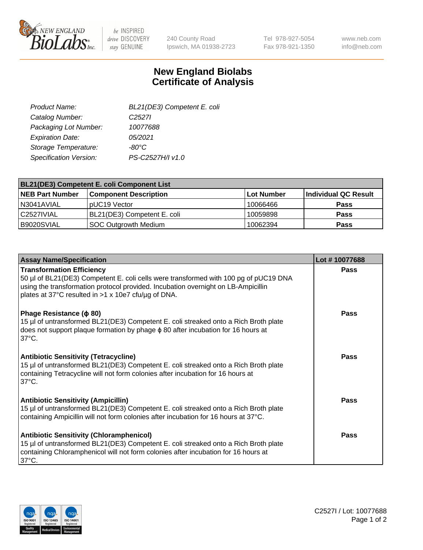

 $be$  INSPIRED drive DISCOVERY stay GENUINE

240 County Road Ipswich, MA 01938-2723 Tel 978-927-5054 Fax 978-921-1350

www.neb.com info@neb.com

## **New England Biolabs Certificate of Analysis**

| BL21(DE3) Competent E. coli |
|-----------------------------|
| C <sub>2527</sub>           |
| 10077688                    |
| 05/2021                     |
| $-80^{\circ}$ C             |
| PS-C2527H/I v1.0            |
|                             |

| <b>BL21(DE3) Competent E. coli Component List</b> |                              |            |                      |  |
|---------------------------------------------------|------------------------------|------------|----------------------|--|
| <b>NEB Part Number</b>                            | <b>Component Description</b> | Lot Number | Individual QC Result |  |
| N3041AVIAL                                        | pUC19 Vector                 | 10066466   | <b>Pass</b>          |  |
| I C2527IVIAL                                      | BL21(DE3) Competent E. coli  | 10059898   | <b>Pass</b>          |  |
| B9020SVIAL                                        | SOC Outgrowth Medium         | 10062394   | <b>Pass</b>          |  |

| <b>Assay Name/Specification</b>                                                                                                                                                                                                                                      | Lot #10077688 |
|----------------------------------------------------------------------------------------------------------------------------------------------------------------------------------------------------------------------------------------------------------------------|---------------|
| <b>Transformation Efficiency</b><br>50 µl of BL21(DE3) Competent E. coli cells were transformed with 100 pg of pUC19 DNA<br>using the transformation protocol provided. Incubation overnight on LB-Ampicillin<br>plates at 37°C resulted in >1 x 10e7 cfu/µg of DNA. | <b>Pass</b>   |
| Phage Resistance (φ 80)<br>15 µl of untransformed BL21(DE3) Competent E. coli streaked onto a Rich Broth plate<br>does not support plaque formation by phage $\phi$ 80 after incubation for 16 hours at<br>$37^{\circ}$ C.                                           | Pass          |
| <b>Antibiotic Sensitivity (Tetracycline)</b><br>15 µl of untransformed BL21(DE3) Competent E. coli streaked onto a Rich Broth plate<br>containing Tetracycline will not form colonies after incubation for 16 hours at<br>$37^{\circ}$ C.                            | Pass          |
| <b>Antibiotic Sensitivity (Ampicillin)</b><br>15 µl of untransformed BL21(DE3) Competent E. coli streaked onto a Rich Broth plate<br>containing Ampicillin will not form colonies after incubation for 16 hours at 37°C.                                             | Pass          |
| <b>Antibiotic Sensitivity (Chloramphenicol)</b><br>15 µl of untransformed BL21(DE3) Competent E. coli streaked onto a Rich Broth plate<br>containing Chloramphenicol will not form colonies after incubation for 16 hours at<br>$37^{\circ}$ C.                      | Pass          |